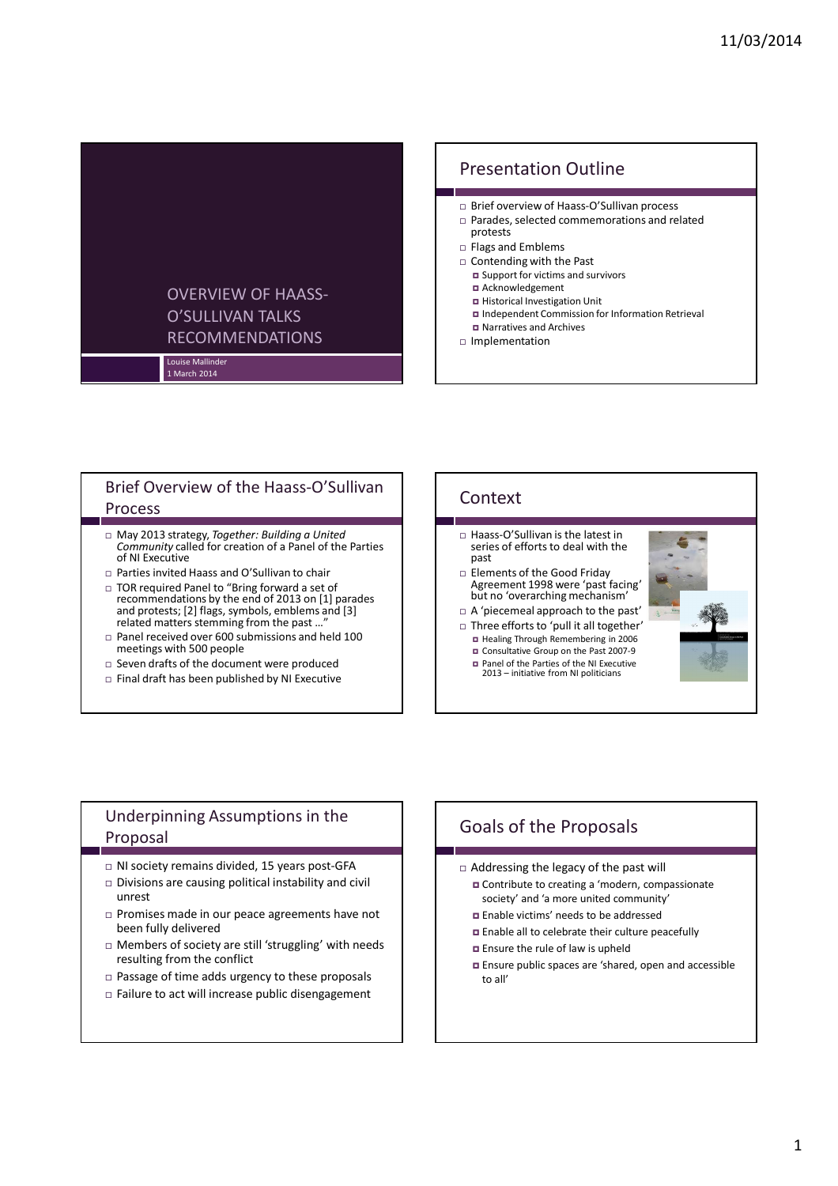

### Presentation Outline

- Brief overview of Haass-O'Sullivan process
- Parades, selected commemorations and related protests
- Flags and Emblems
- $\Box$  Contending with the Past
	- Support for victims and survivors
	- Acknowledgement
	- Historical Investigation Unit
	- Independent Commission for Information Retrieval
	- Narratives and Archives
- $\Box$  Implementation

#### Brief Overview of the Haass-O'Sullivan Process

- May 2013 strategy, Together: Building a United Community called for creation of a Panel of the Parties of NI Executive
- Parties invited Haass and O'Sullivan to chair
- TOR required Panel to "Bring forward a set of recommendations by the end of 2013 on [1] parades and protests; [2] flags, symbols, emblems and [3] related matters stemming from the past …"
- $\Box$  Panel received over 600 submissions and held 100 meetings with 500 people
- $\square$  Seven drafts of the document were produced
- $\Box$  Final draft has been published by NI Executive

#### Context

- $\Box$  Haass-O'Sullivan is the latest in series of efforts to deal with the past
- Elements of the Good Friday Agreement 1998 were 'past facing' but no 'overarching mechanism'
- A 'piecemeal approach to the past'
- $\Box$  Three efforts to 'pull it all together' Healing Through Remembering in 2006
	- Consultative Group on the Past 2007-9
	- Panel of the Parties of the NI Executive 2013 initiative from NI politicians



#### Underpinning Assumptions in the Proposal

- $\Box$  NI society remains divided, 15 years post-GFA
- $\Box$  Divisions are causing political instability and civil unrest
- $\square$  Promises made in our peace agreements have not been fully delivered
- Members of society are still 'struggling' with needs resulting from the conflict
- Passage of time adds urgency to these proposals
- Failure to act will increase public disengagement

# Goals of the Proposals

#### Addressing the legacy of the past will

- Contribute to creating a 'modern, compassionate society' and 'a more united community'
- Enable victims' needs to be addressed
- Enable all to celebrate their culture peacefully
- Ensure the rule of law is upheld
- Ensure public spaces are 'shared, open and accessible to all'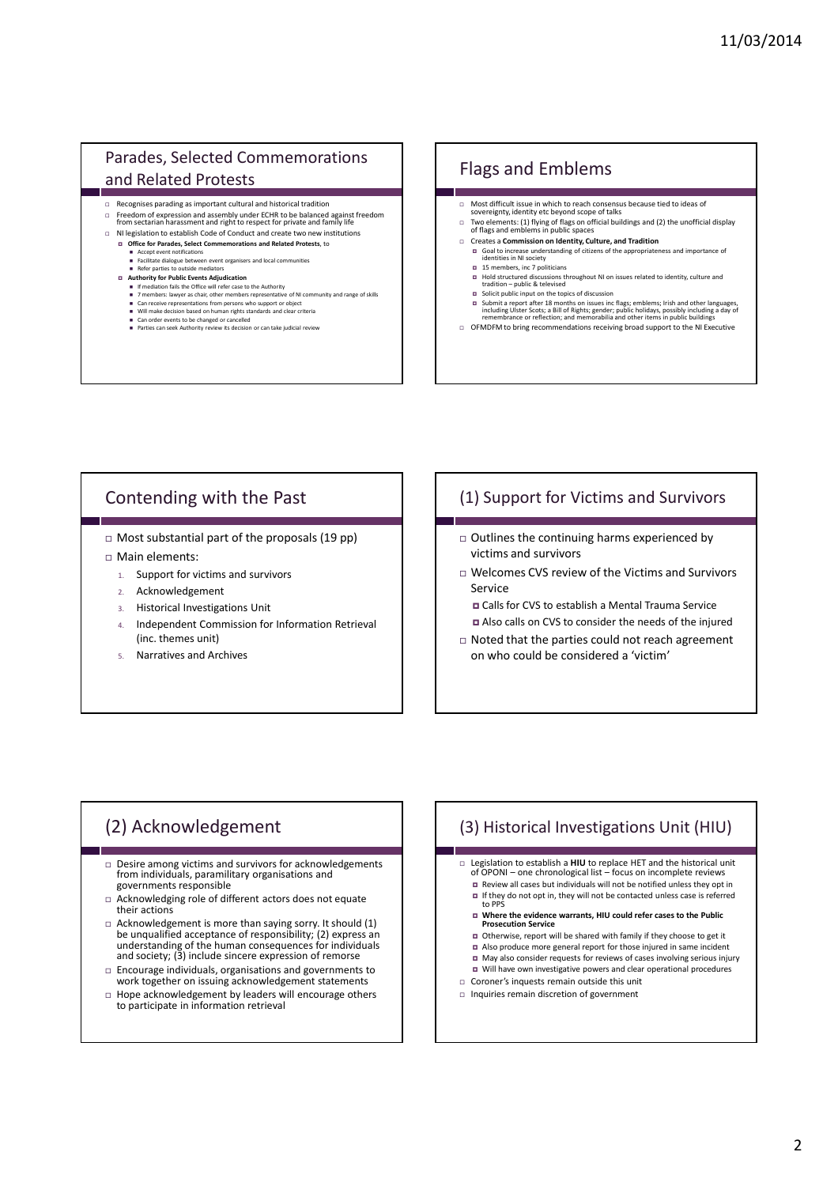#### Parades, Selected Commemorations and Related Protests

- Recognises parading as important cultural and historical tradition
- □ Freedom of expression and assembly under ECHR to be balanced against freedom<br>from sectarian harassment and right to respect for private and family life
- NI legislation to establish Code of Conduct and create two new institutions
	- Office for Parades, Select Commemorations and Related Protests, to
	- **■** Accept event notifications<br>
	 Facilitate dialogue between event organisers and local communities<br>
	 Refer parties to outside mediators<br>
	 Authority for Public Events Adjudication
		-
		-
		-
		- If mediation fails the Office will refer case to the Authority<br>■ 7 members: lawyer as chuit, other members representative of NI community and range of skills<br>■ Can receive representations from persons who support or obj
		-
		-

# Flags and Emblems

- Most difficult issue in which to reach consensus because tied to ideas of sovereignty, identity etc beyond scope of talks
- The elements: (1) flying of flags on official buildings and (2) the unofficial display of flags and emblems in public spaces
- Creates a Commission on Identity, Culture, and Tradition
	- Goal to increase understanding of citizens of the appropriateness and importance of identities in NI society
	- □ 15 members, inc 7 politicians
	- Hold structured discussions throughout NI on issues related to identity, culture and<br>tradition public & televised<br>a Solicit public input on the topics of discussion
	-
- Submit a report after 18 months on issues inc flags; emblems; Irish and other languages,<br>including Ulster Scots; a Bill of Rights; genoter; public holidays, possibly including a day of<br>remembrance or reflection; and mem
- $\Box$  OFMDFM to bring recommendations receiving broad support to the NI Executive

# Contending with the Past

 $\Box$  Most substantial part of the proposals (19 pp)

- Main elements:
	- 1. Support for victims and survivors
	- 2. Acknowledgement
	- 3. Historical Investigations Unit
	- 4. Independent Commission for Information Retrieval (inc. themes unit)
	- 5. Narratives and Archives

#### (1) Support for Victims and Survivors

- $\Box$  Outlines the continuing harms experienced by victims and survivors
- Welcomes CVS review of the Victims and Survivors Service
	- Calls for CVS to establish a Mental Trauma Service Also calls on CVS to consider the needs of the injured
- $\Box$  Noted that the parties could not reach agreement on who could be considered a 'victim'

# (2) Acknowledgement

- □ Desire among victims and survivors for acknowledgements from individuals, paramilitary organisations and governments responsible
- Acknowledging role of different actors does not equate their actions
- Acknowledgement is more than saying sorry. It should (1) be unqualified acceptance of responsibility; (2) express an understanding of the human consequences for individuals and society; (3) include sincere expression of remorse
- $\Box$  Encourage individuals, organisations and governments to work together on issuing acknowledgement statements
- Hope acknowledgement by leaders will encourage others to participate in information retrieval

# (3) Historical Investigations Unit (HIU)

- □ Legislation to establish a HIU to replace HET and the historical unit of OPONI – one chronological list – focus on incomplete reviews Review all cases but individuals will not be notified unless they opt in
	- If they do not opt in, they will not be contacted unless case is referred to PPS
	- Where the evidence warrants, HIU could refer cases to the Public Prosecution Service
	- Otherwise, report will be shared with family if they choose to get it
	- Also produce more general report for those injured in same incident
- May also consider requests for reviews of cases involving serious injury Will have own investigative powers and clear operational procedures
- $\Box$  Coroner's inquests remain outside this unit
- $\Box$  Inquiries remain discretion of government